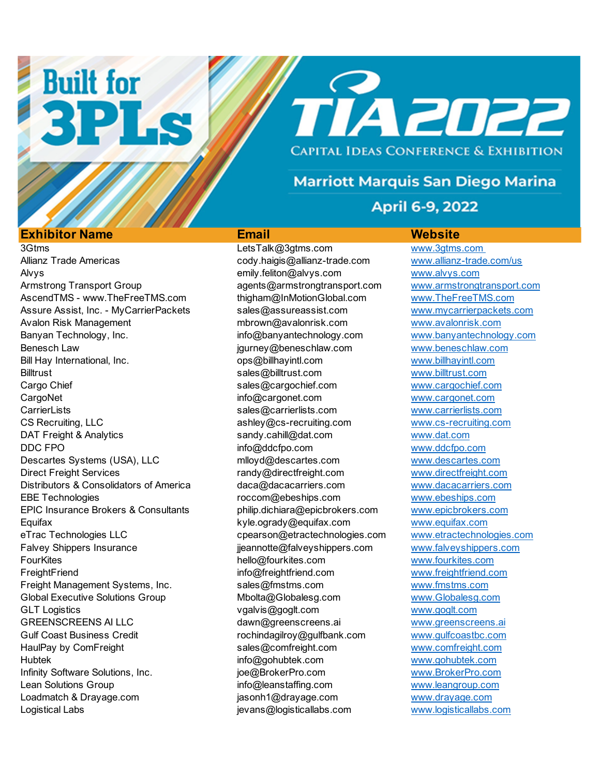# **Built** for **BPLS**

TAZOZZ **CAPITAL IDEAS CONFERENCE & EXHIBITION** 

**Marriott Marquis San Diego Marina** 

## April 6-9, 2022

## **Exhibitor Name Email Website**

3Gtms LetsTalk@3gtms.com www.3gtms.com Allianz Trade Americas cody.haigis@allianz-trade.com www.allianz-trade.com/us Alvys **Alvace Community.feliton@alvys.com** www.alvys.com Armstrong Transport Group agents@armstrongtransport.com www.armstrongtransport.com AscendTMS - www.TheFreeTMS.com thigham@InMotionGlobal.com www.TheFreeTMS.com Assure Assist, Inc. - MyCarrierPackets sales@assureassist.com www.mycarrierpackets.com Avalon Risk Management mbrown@avalonrisk.com www.avalonrisk.com Banyan Technology, Inc. info@banyantechnology.com www.banyantechnology.com Benesch Law jgurney@beneschlaw.com www.beneschlaw.com Bill Hay International, Inc. The Contract ops@billhayintl.com www.billhayintl.com Billtrust sales@billtrust.com www.billtrust.com Cargo Chief sales@cargochief.com www.cargochief.com CargoNet info@cargonet.com www.cargonet.com CarrierLists sales@carrierlists.com www.carrierlists.com CS Recruiting, LLC ashley@cs-recruiting.com www.cs-recruiting.com DAT Freight & Analytics sandy.cahill@dat.com www.dat.com DDC FPO info@ddcfpo.com info@ddcfpo.com www.ddcfpo.com Descartes Systems (USA), LLC mlloyd@descartes.com www.descartes.com Direct Freight Services randy@directfreight.com www.directfreight.com Distributors & Consolidators of America daca@dacacarriers.com www.dacacarriers.com EBE Technologies roccom@ebeships.com www.ebeships.com EPIC Insurance Brokers & Consultants philip.dichiara@epicbrokers.com www.epicbrokers.com Equifax kyle.ogrady@equifax.com www.equifax.com eTrac Technologies LLC comes comes comes comes comes com www.etractechnologies.com Falvey Shippers Insurance interest in the interest interest included in the interest of the interest in the in FourKites **hello@fourkites.com** hello@fourkites.com www.fourkites.com FreightFriend info@freightfriend.com www.freightfriend.com Freight Management Systems, Inc. sales@fmstms.com www.fmstms.com Global Executive Solutions Group Mbolta@Globalesg.com www.Globalesg.com GLT Logistics vgalvis@goglt.com www.goglt.com GREENSCREENS AI LLC 
and the dawn@greenscreens.ai www.greenscreens.ai Gulf Coast Business Credit rochindagilroy@gulfbank.com www.gulfcoastbc.com HaulPay by ComFreight sales@comfreight.com www.comfreight.com www.comfreight.com Hubtek info@gohubtek.com www.gohubtek.com Infinity Software Solutions, Inc.  $j$ oe@BrokerPro.com www.BrokerPro.com Lean Solutions Group info@leanstaffing.com info@leanstaffing.com www.leangroup.com Loadmatch & Drayage.com in igsonh1@drayage.com www.drayage.com Logistical Labs in the state of the second version of the second version of the second version of the second version of the second version of the second version of the second version of the second version of the second ver